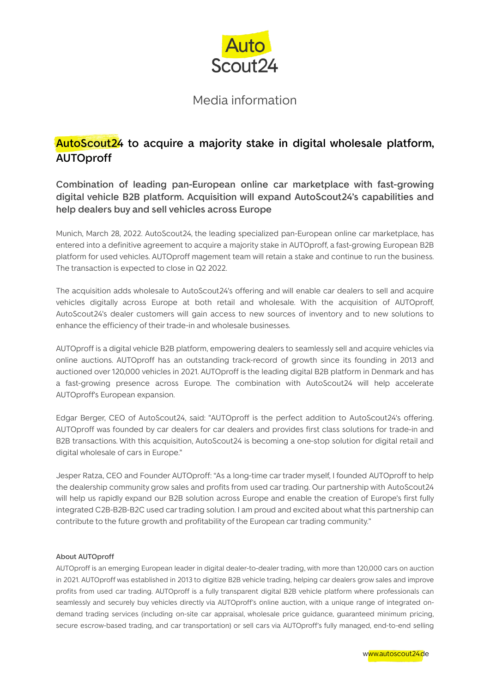

### Media information

## **AutoScout24 to acquire a majority stake in digital wholesale platform, AUTOproff**

**Combination of leading pan-European online car marketplace with fast-growing digital vehicle B2B platform. Acquisition will expand AutoScout24's capabilities and help dealers buy and sell vehicles across Europe**

Munich, March 28, 2022. AutoScout24, the leading specialized pan-European online car marketplace, has entered into a definitive agreement to acquire a majority stake in AUTOproff, a fast-growing European B2B platform for used vehicles. AUTOproff magement team will retain a stake and continue to run the business. The transaction is expected to close in Q2 2022.

The acquisition adds wholesale to AutoScout24's offering and will enable car dealers to sell and acquire vehicles digitally across Europe at both retail and wholesale. With the acquisition of AUTOproff, AutoScout24's dealer customers will gain access to new sources of inventory and to new solutions to enhance the efficiency of their trade-in and wholesale businesses.

AUTOproff is a digital vehicle B2B platform, empowering dealers to seamlessly sell and acquire vehicles via online auctions. AUTOproff has an outstanding track-record of growth since its founding in 2013 and auctioned over 120,000 vehicles in 2021. AUTOproff is the leading digital B2B platform in Denmark and has a fast-growing presence across Europe. The combination with AutoScout24 will help accelerate AUTOproff's European expansion.

Edgar Berger, CEO of AutoScout24, said: "AUTOproff is the perfect addition to AutoScout24's offering. AUTOproff was founded by car dealers for car dealers and provides first class solutions for trade-in and B2B transactions. With this acquisition, AutoScout24 is becoming a one-stop solution for digital retail and digital wholesale of cars in Europe."

Jesper Ratza, CEO and Founder AUTOproff: "As a long-time car trader myself, I founded AUTOproff to help the dealership community grow sales and profits from used car trading. Our partnership with AutoScout24 will help us rapidly expand our B2B solution across Europe and enable the creation of Europe's first fully integrated C2B-B2B-B2C used car trading solution. I am proud and excited about what this partnership can contribute to the future growth and profitability of the European car trading community."

### **About AUTOproff**

AUTOproff is an emerging European leader in digital dealer-to-dealer trading, with more than 120,000 cars on auction in 2021. AUTOproff was established in 2013 to digitize B2B vehicle trading, helping car dealers grow sales and improve profits from used car trading. AUTOproff is a fully transparent digital B2B vehicle platform where professionals can seamlessly and securely buy vehicles directly via AUTOproff's online auction, with a unique range of integrated ondemand trading services (including on-site car appraisal, wholesale price guidance, guaranteed minimum pricing, secure escrow-based trading, and car transportation) or sell cars via AUTOproff's fully managed, end-to-end selling